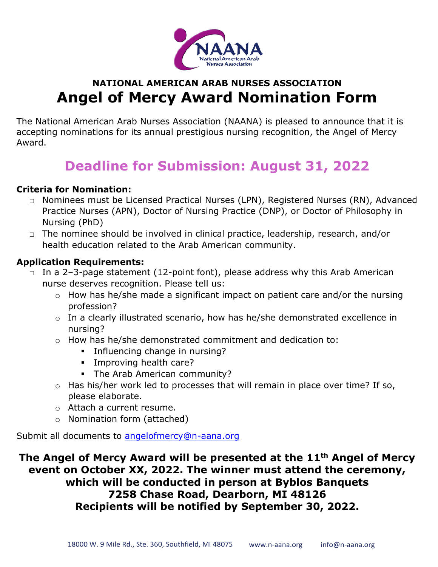

### **NATIONAL AMERICAN ARAB NURSES ASSOCIATION Angel of Mercy Award Nomination Form**

The National American Arab Nurses Association (NAANA) is pleased to announce that it is accepting nominations for its annual prestigious nursing recognition, the Angel of Mercy Award.

## **Deadline for Submission: August 31, 2022**

#### **Criteria for Nomination:**

- □ Nominees must be Licensed Practical Nurses (LPN), Registered Nurses (RN), Advanced Practice Nurses (APN), Doctor of Nursing Practice (DNP), or Doctor of Philosophy in Nursing (PhD)
- □ The nominee should be involved in clinical practice, leadership, research, and/or health education related to the Arab American community.

#### **Application Requirements:**

- □ In a 2-3-page statement (12-point font), please address why this Arab American nurse deserves recognition. Please tell us:
	- $\circ$  How has he/she made a significant impact on patient care and/or the nursing profession?
	- o In a clearly illustrated scenario, how has he/she demonstrated excellence in nursing?
	- o How has he/she demonstrated commitment and dedication to:
		- **•** Influencing change in nursing?
		- **·** Improving health care?
		- **•** The Arab American community?
	- o Has his/her work led to processes that will remain in place over time? If so, please elaborate.
	- o Attach a current resume.
	- o Nomination form (attached)

Submit all documents to [angelofmercy@n-aana.org](about:blank)

**The Angel of Mercy Award will be presented at the 11 th Angel of Mercy event on October XX, 2022. The winner must attend the ceremony, which will be conducted in person at Byblos Banquets 7258 Chase Road, Dearborn, MI 48126 Recipients will be notified by September 30, 2022.**